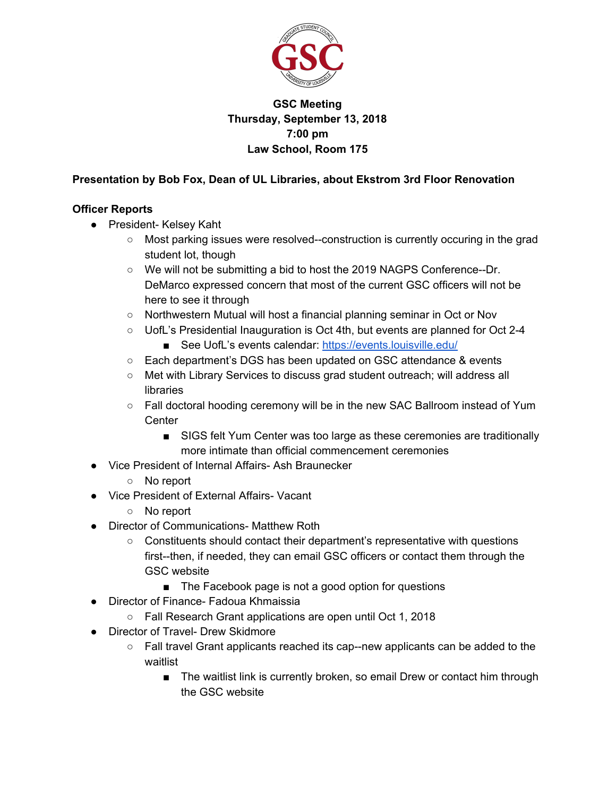

## **GSC Meeting Thursday, September 13, 2018 7:00 pm Law School, Room 175**

## **Presentation by Bob Fox, Dean of UL Libraries, about Ekstrom 3rd Floor Renovation**

## **Officer Reports**

- President- Kelsey Kaht
	- Most parking issues were resolved--construction is currently occuring in the grad student lot, though
	- We will not be submitting a bid to host the 2019 NAGPS Conference--Dr. DeMarco expressed concern that most of the current GSC officers will not be here to see it through
	- Northwestern Mutual will host a financial planning seminar in Oct or Nov
	- UofL's Presidential Inauguration is Oct 4th, but events are planned for Oct 2-4 ■ See UofL's events calendar: <https://events.louisville.edu/>
	- Each department's DGS has been updated on GSC attendance & events
	- Met with Library Services to discuss grad student outreach; will address all libraries
	- Fall doctoral hooding ceremony will be in the new SAC Ballroom instead of Yum **Center** 
		- SIGS felt Yum Center was too large as these ceremonies are traditionally more intimate than official commencement ceremonies
- Vice President of Internal Affairs- Ash Braunecker
	- No report
- Vice President of External Affairs- Vacant
	- No report
- Director of Communications- Matthew Roth
	- Constituents should contact their department's representative with questions first--then, if needed, they can email GSC officers or contact them through the GSC website
		- The Facebook page is not a good option for questions
- Director of Finance- Fadoua Khmaissia
	- Fall Research Grant applications are open until Oct 1, 2018
- Director of Travel- Drew Skidmore
	- Fall travel Grant applicants reached its cap--new applicants can be added to the waitlist
		- The waitlist link is currently broken, so email Drew or contact him through the GSC website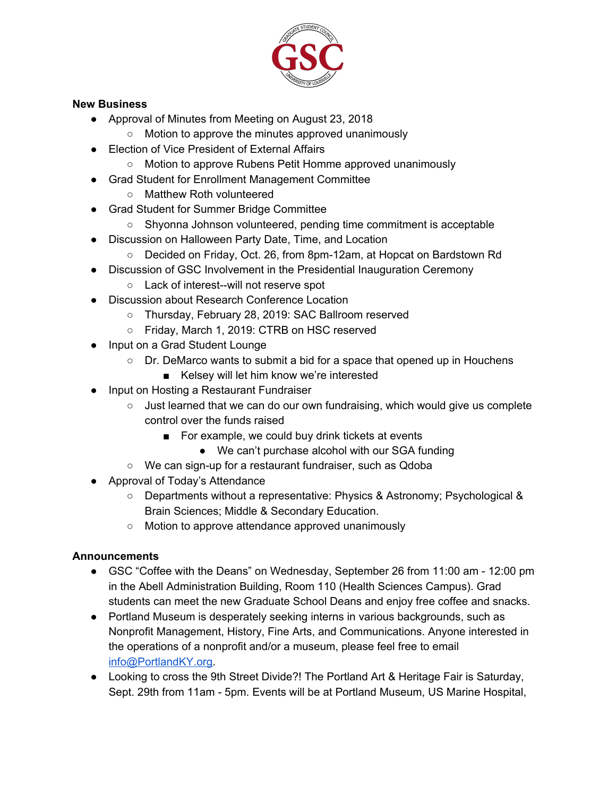

#### **New Business**

- Approval of Minutes from Meeting on August 23, 2018
	- Motion to approve the minutes approved unanimously
- Election of Vice President of External Affairs
	- Motion to approve Rubens Petit Homme approved unanimously
- Grad Student for Enrollment Management Committee
	- Matthew Roth volunteered
- Grad Student for Summer Bridge Committee
	- Shyonna Johnson volunteered, pending time commitment is acceptable
- Discussion on Halloween Party Date, Time, and Location
	- Decided on Friday, Oct. 26, from 8pm-12am, at Hopcat on Bardstown Rd
- Discussion of GSC Involvement in the Presidential Inauguration Ceremony
	- Lack of interest--will not reserve spot
- Discussion about Research Conference Location
	- Thursday, February 28, 2019: SAC Ballroom reserved
	- Friday, March 1, 2019: CTRB on HSC reserved
- Input on a Grad Student Lounge
	- $\circ$  Dr. DeMarco wants to submit a bid for a space that opened up in Houchens
		- Kelsey will let him know we're interested
- Input on Hosting a Restaurant Fundraiser
	- $\circ$  Just learned that we can do our own fundraising, which would give us complete control over the funds raised
		- For example, we could buy drink tickets at events
			- We can't purchase alcohol with our SGA funding
	- We can sign-up for a restaurant fundraiser, such as Qdoba
- Approval of Today's Attendance
	- Departments without a representative: Physics & Astronomy; Psychological & Brain Sciences; Middle & Secondary Education.
	- Motion to approve attendance approved unanimously

# **Announcements**

- GSC "Coffee with the Deans" on Wednesday, September 26 from 11:00 am 12:00 pm in the Abell Administration Building, Room 110 (Health Sciences Campus). Grad students can meet the new Graduate School Deans and enjoy free coffee and snacks.
- Portland Museum is desperately seeking interns in various backgrounds, such as Nonprofit Management, History, Fine Arts, and Communications. Anyone interested in the operations of a nonprofit and/or a museum, please feel free to email [info@PortlandKY.org.](mailto:info@PortlandKY.org)
- Looking to cross the 9th Street Divide?! The Portland Art & Heritage Fair is Saturday, Sept. 29th from 11am - 5pm. Events will be at Portland Museum, US Marine Hospital,